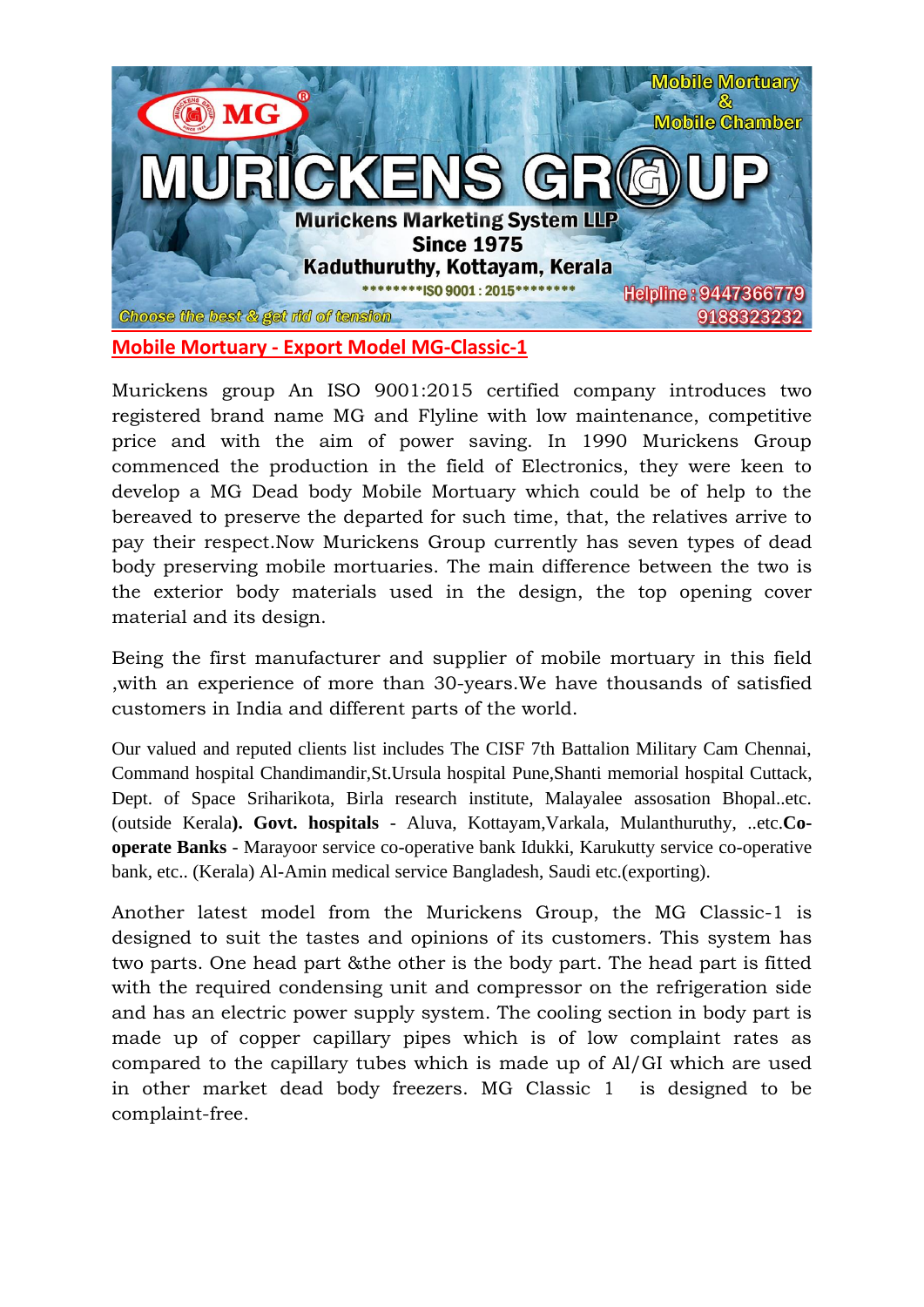

Murickens group An ISO 9001:2015 certified company introduces two registered brand name MG and Flyline with low maintenance, competitive price and with the aim of power saving. In 1990 Murickens Group commenced the production in the field of Electronics, they were keen to develop a MG Dead body Mobile Mortuary which could be of help to the bereaved to preserve the departed for such time, that, the relatives arrive to pay their respect.Now Murickens Group currently has seven types of dead body preserving mobile mortuaries. The main difference between the two is the exterior body materials used in the design, the top opening cover material and its design.

Being the first manufacturer and supplier of mobile mortuary in this field ,with an experience of more than 30-years.We have thousands of satisfied customers in India and different parts of the world.

Our valued and reputed clients list includes The CISF 7th Battalion Military Cam Chennai, Command hospital Chandimandir,St.Ursula hospital Pune,Shanti memorial hospital Cuttack, Dept. of Space Sriharikota, Birla research institute, Malayalee assosation Bhopal..etc. (outside Kerala**). Govt. hospitals** - Aluva, Kottayam,Varkala, Mulanthuruthy, ..etc.**Cooperate Banks** - Marayoor service co-operative bank Idukki, Karukutty service co-operative bank, etc.. (Kerala) Al-Amin medical service Bangladesh, Saudi etc.(exporting).

Another latest model from the Murickens Group, the MG Classic-1 is designed to suit the tastes and opinions of its customers. This system has two parts. One head part &the other is the body part. The head part is fitted with the required condensing unit and compressor on the refrigeration side and has an electric power supply system. The cooling section in body part is made up of copper capillary pipes which is of low complaint rates as compared to the capillary tubes which is made up of Al/GI which are used in other market dead body freezers. MG Classic 1 is designed to be complaint-free.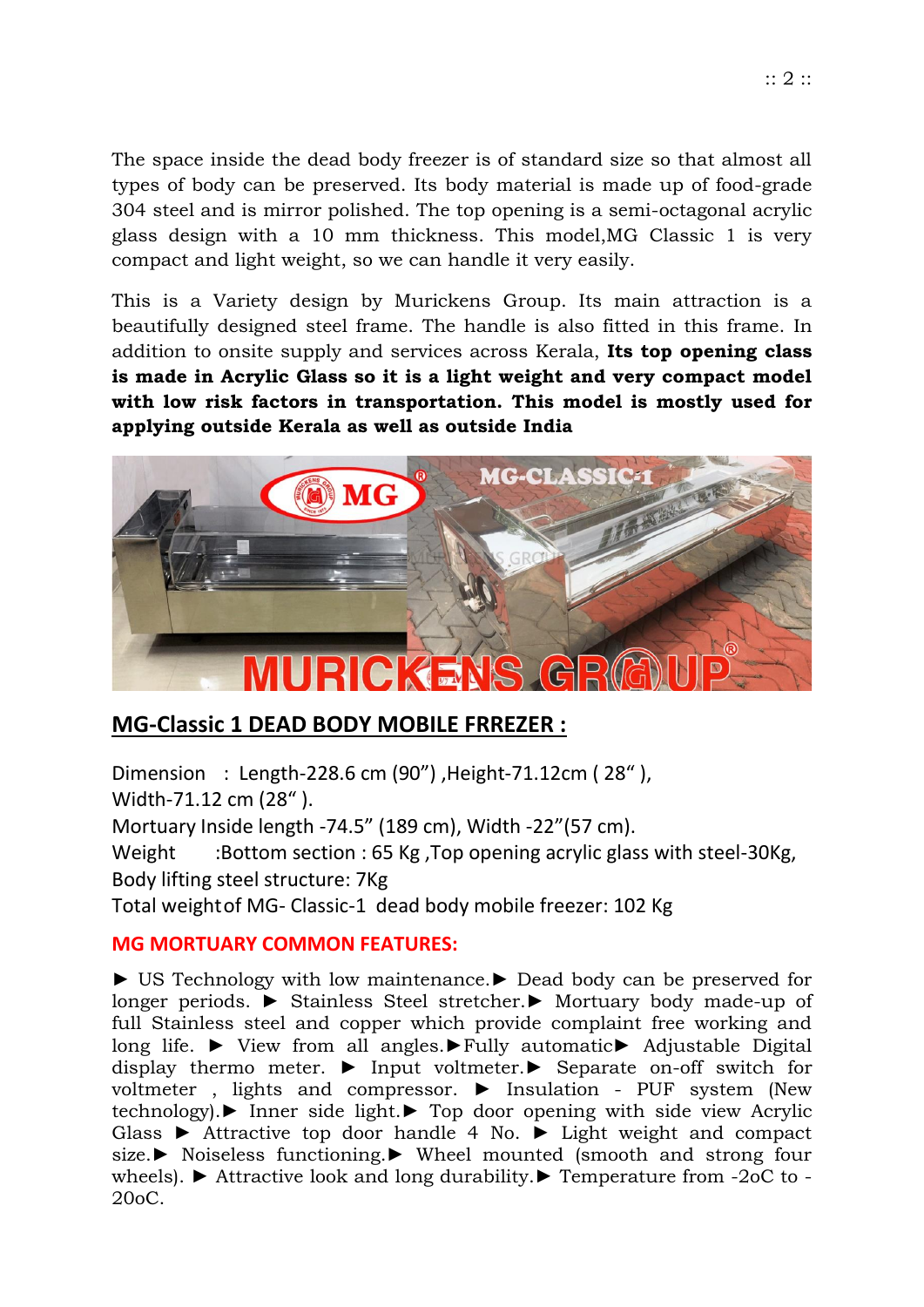The space inside the dead body freezer is of standard size so that almost all types of body can be preserved. Its body material is made up of food-grade 304 steel and is mirror polished. The top opening is a semi-octagonal acrylic glass design with a 10 mm thickness. This model,MG Classic 1 is very compact and light weight, so we can handle it very easily.

This is a Variety design by Murickens Group. Its main attraction is a beautifully designed steel frame. The handle is also fitted in this frame. In addition to onsite supply and services across Kerala, **Its top opening class is made in Acrylic Glass so it is a light weight and very compact model with low risk factors in transportation. This model is mostly used for applying outside Kerala as well as outside India**



## **MG-Classic 1 DEAD BODY MOBILE FRREZER :**

Dimension : Length-228.6 cm (90") ,Height-71.12cm ( 28" ), Width-71.12 cm (28" ). Mortuary Inside length -74.5" (189 cm), Width -22"(57 cm). Weight :Bottom section : 65 Kg, Top opening acrylic glass with steel-30Kg, Body lifting steel structure: 7Kg Total weightof MG- Classic-1 dead body mobile freezer: 102 Kg

## **MG MORTUARY COMMON FEATURES:**

► US Technology with low maintenance.► Dead body can be preserved for longer periods. ► Stainless Steel stretcher.► Mortuary body made-up of full Stainless steel and copper which provide complaint free working and long life. ► View from all angles.►Fully automatic► Adjustable Digital display thermo meter. ► Input voltmeter.► Separate on-off switch for voltmeter , lights and compressor. ► Insulation - PUF system (New technology).► Inner side light.► Top door opening with side view Acrylic Glass ► Attractive top door handle 4 No. ► Light weight and compact size.► Noiseless functioning.► Wheel mounted (smooth and strong four wheels). ► Attractive look and long durability.► Temperature from -2oC to - 20oC.